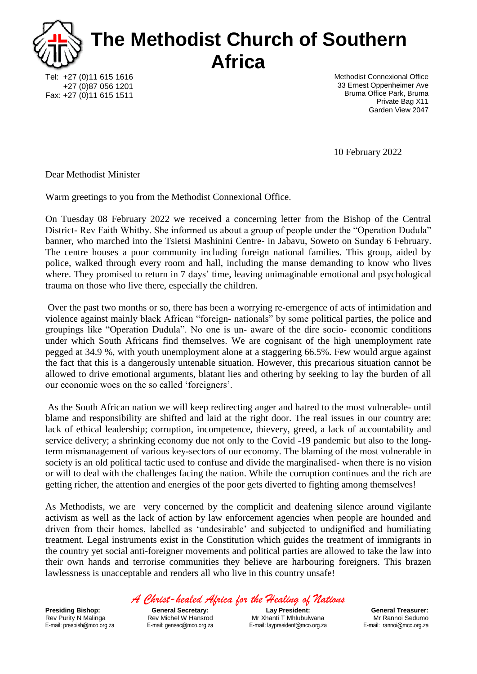

Tel: +27 (0)11 615 1616 +27 (0)87 056 1201 Fax: +27 (0)11 615 1511 Methodist Connexional Office 33 Ernest Oppenheimer Ave Bruma Office Park, Bruma Private Bag X11 Garden View 2047

10 February 2022

Dear Methodist Minister

Warm greetings to you from the Methodist Connexional Office.

On Tuesday 08 February 2022 we received a concerning letter from the Bishop of the Central District- Rev Faith Whitby. She informed us about a group of people under the "Operation Dudula" banner, who marched into the Tsietsi Mashinini Centre- in Jabavu, Soweto on Sunday 6 February. The centre houses a poor community including foreign national families. This group, aided by police, walked through every room and hall, including the manse demanding to know who lives where. They promised to return in 7 days' time, leaving unimaginable emotional and psychological trauma on those who live there, especially the children.

Over the past two months or so, there has been a worrying re-emergence of acts of intimidation and violence against mainly black African "foreign- nationals" by some political parties, the police and groupings like "Operation Dudula". No one is un- aware of the dire socio- economic conditions under which South Africans find themselves. We are cognisant of the high unemployment rate pegged at 34.9 %, with youth unemployment alone at a staggering 66.5%. Few would argue against the fact that this is a dangerously untenable situation. However, this precarious situation cannot be allowed to drive emotional arguments, blatant lies and othering by seeking to lay the burden of all our economic woes on the so called 'foreigners'.

As the South African nation we will keep redirecting anger and hatred to the most vulnerable- until blame and responsibility are shifted and laid at the right door. The real issues in our country are: lack of ethical leadership; corruption, incompetence, thievery, greed, a lack of accountability and service delivery; a shrinking economy due not only to the Covid -19 pandemic but also to the longterm mismanagement of various key-sectors of our economy. The blaming of the most vulnerable in society is an old political tactic used to confuse and divide the marginalised- when there is no vision or will to deal with the challenges facing the nation. While the corruption continues and the rich are getting richer, the attention and energies of the poor gets diverted to fighting among themselves!

As Methodists, we are very concerned by the complicit and deafening silence around vigilante activism as well as the lack of action by law enforcement agencies when people are hounded and driven from their homes, labelled as 'undesirable' and subjected to undignified and humiliating treatment. Legal instruments exist in the Constitution which guides the treatment of immigrants in the country yet social anti-foreigner movements and political parties are allowed to take the law into their own hands and terrorise communities they believe are harbouring foreigners. This brazen lawlessness is unacceptable and renders all who live in this country unsafe!

**Presiding Bishop:**  Rev Purity N Malinga E-mail: presbish@mco.org.za *A Christ-healed Africa for the Healing of Nations*

**General Secretary:** Rev Michel W Hansrod E-mail: gensec@mco.org.za

**Lay President:** Mr Xhanti T Mhlubulwana E-mail: laypresident@mco.org.za

**General Treasurer:** Mr Rannoi Sedumo E-mail: rannoi@mco.org.za